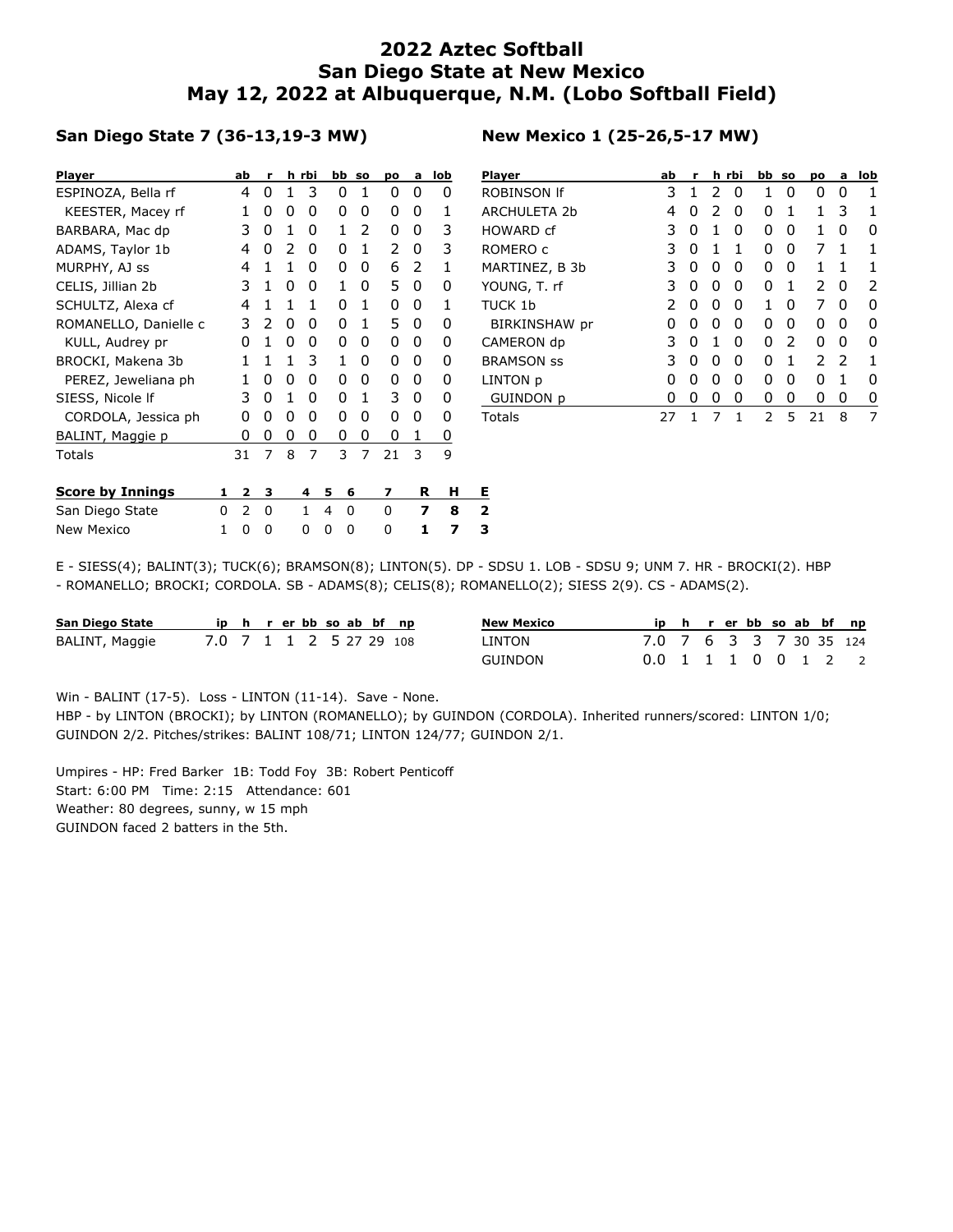## **2022 Aztec Softball San Diego State at New Mexico May 12, 2022 at Albuquerque, N.M. (Lobo Softball Field)**

## **San Diego State 7 (36-13,19-3 MW)**

| <b>Player</b>           |   | ab             | r              |   | h rbi | bb |   | <b>SO</b>      | po | a | lob | PI             |
|-------------------------|---|----------------|----------------|---|-------|----|---|----------------|----|---|-----|----------------|
| ESPINOZA, Bella rf      |   | 4              | 0              | 1 | 3     |    | 0 | 1              | 0  | 0 | 0   | R <sup>(</sup> |
| KEESTER, Macey rf       |   | 1              | 0              | 0 | 0     |    | 0 | 0              | 0  | 0 | 1   | Al             |
| BARBARA, Mac dp         |   | 3              | 0              | 1 | 0     |    | 1 | 2              | 0  | 0 | 3   | H١             |
| ADAMS, Taylor 1b        |   | 4              | 0              | 2 | 0     |    | 0 | 1              | 2  | 0 | 3   | R١             |
| MURPHY, AJ ss           |   | 4              | 1              | 1 | 0     |    | 0 | 0              | 6  | 2 | 1   | M.             |
| CELIS, Jillian 2b       |   | 3              | 1              | 0 | 0     |    | 1 | 0              | 5  | 0 | 0   | Y(             |
| SCHULTZ, Alexa cf       |   | 4              | 1              | 1 | 1     |    | 0 | 1              | 0  | 0 | 1   | τι             |
| ROMANELLO, Danielle c   |   | 3              | 2              | 0 | 0     |    | 0 | 1              | 5  | 0 | 0   |                |
| KULL, Audrey pr         |   | 0              | 1              | 0 | 0     |    | 0 | 0              | 0  | 0 | 0   | C,             |
| BROCKI, Makena 3b       |   | 1              | 1              | 1 | 3     |    | 1 | 0              | 0  | 0 | 0   | BI             |
| PEREZ, Jeweliana ph     |   | 1              | 0              | 0 | 0     |    | 0 | 0              | 0  | 0 | 0   | LI             |
| SIESS, Nicole If        |   | 3              | 0              | 1 | 0     |    | 0 | 1              | 3  | 0 | 0   |                |
| CORDOLA, Jessica ph     |   | 0              | 0              | 0 | 0     |    | 0 | 0              | 0  | 0 | 0   | Т٥             |
| BALINT, Maggie p        |   | 0              | 0              | 0 | 0     |    | 0 | 0              | 0  | 1 | 0   |                |
| Totals                  |   | 31             | $\overline{7}$ | 8 | 7     |    | 3 | $\overline{7}$ | 21 | 3 | 9   |                |
| <b>Score by Innings</b> | 1 | 2              | з              |   | 4     | 5  | 6 |                | 7  | R | н   | Е.             |
| San Diego State         | 0 | $\overline{2}$ | 0              |   | 1     | 4  | 0 |                | 0  | 7 | 8   | 2              |
| <b>New Mexico</b>       | 1 | 0              | 0              |   | 0     | 0  | 0 |                | 0  | 1 | 7   | 3              |

| <b>Player</b>        | ab | r |   | h rbi        | bb so |   | po | a             | lob |
|----------------------|----|---|---|--------------|-------|---|----|---------------|-----|
| ROBINSON If          | 3  | 1 | 2 | O            | 1     | O | 0  | O             | 1   |
| <b>ARCHULETA 2b</b>  | 4  | 0 | 2 | 0            | O     | 1 | 1  | 3             |     |
| HOWARD cf            | 3  | 0 | 1 | 0            | 0     | 0 | 1  | 0             | O   |
| ROMERO c             | 3  | 0 | 1 | 1            | ი     | 0 | 7  | 1             |     |
| MARTINEZ, B 3b       | 3  | 0 | 0 | 0            | 0     | 0 | 1  | 1             | 1   |
| YOUNG, T. rf         | 3  | 0 | 0 | 0            | 0     | 1 | 2  | O             | 2   |
| TUCK 1b              | 2  | 0 | n | O            | 1     | O | 7  | O             | n   |
| <b>BIRKINSHAW</b> pr | O  | 0 | 0 | 0            | 0     | 0 | 0  | O             | n   |
| CAMERON dp           | 3  | 0 | 1 | 0            | O     | 2 | 0  | O             | n   |
| <b>BRAMSON SS</b>    | 3  | 0 | 0 | <sup>0</sup> | ი     | 1 | 2  | $\mathcal{P}$ | 1   |
| LINTON p             | 0  | O | 0 | 0            | ი     | O | O  | 1             | O   |
| <b>GUINDON p</b>     | O  | 0 | 0 | 0            | 0     | 0 | 0  | 0             | O   |
| Totals               | 27 | 1 | 7 | 1            | 2     | 5 | 21 | 8             | 7   |

E - SIESS(4); BALINT(3); TUCK(6); BRAMSON(8); LINTON(5). DP - SDSU 1. LOB - SDSU 9; UNM 7. HR - BROCKI(2). HBP - ROMANELLO; BROCKI; CORDOLA. SB - ADAMS(8); CELIS(8); ROMANELLO(2); SIESS 2(9). CS - ADAMS(2).

| San Diego State |                         |  | ip h r er bb so ab bf np |  |  | <b>New Mexico</b> | ip h r er bb so ab bf np |  |  |  |  |
|-----------------|-------------------------|--|--------------------------|--|--|-------------------|--------------------------|--|--|--|--|
| BALINT, Maggie  | 7.0 7 1 1 2 5 27 29 108 |  |                          |  |  | LINTON            | 7.0 7 6 3 3 7 30 35 124  |  |  |  |  |
|                 |                         |  |                          |  |  | GUINDON           | 0.0 1 1 1 0 0 1 2 2      |  |  |  |  |

Win - BALINT (17-5). Loss - LINTON (11-14). Save - None.

HBP - by LINTON (BROCKI); by LINTON (ROMANELLO); by GUINDON (CORDOLA). Inherited runners/scored: LINTON 1/0; GUINDON 2/2. Pitches/strikes: BALINT 108/71; LINTON 124/77; GUINDON 2/1.

Umpires - HP: Fred Barker 1B: Todd Foy 3B: Robert Penticoff Start: 6:00 PM Time: 2:15 Attendance: 601 Weather: 80 degrees, sunny, w 15 mph GUINDON faced 2 batters in the 5th.

## **New Mexico 1 (25-26,5-17 MW)**